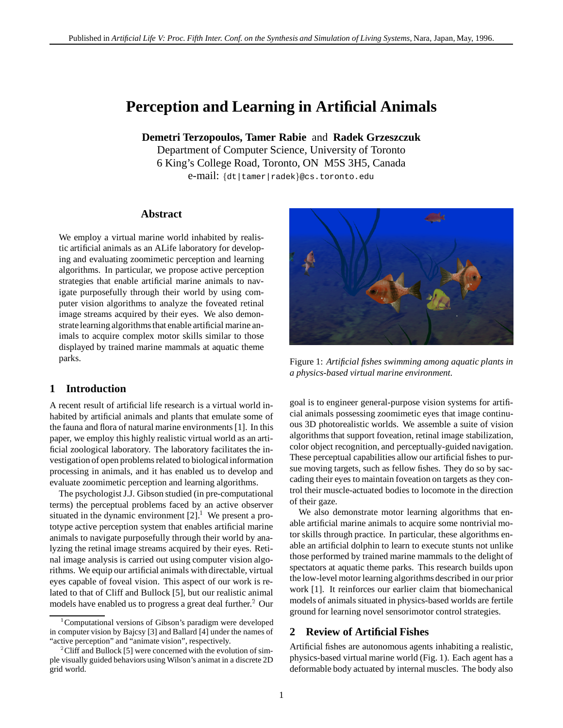# **Perception and Learning in Artificial Animals**

**Demetri Terzopoulos, Tamer Rabie** and **Radek Grzeszczuk** Department of Computer Science, University of Toronto 6 King's College Road, Toronto, ON M5S 3H5, Canada e-mail: {dt|tamer|radek}@cs.toronto.edu

#### **Abstract**

We employ a virtual marine world inhabited by realistic artificial animals as an ALife laboratory for developing and evaluating zoomimetic perception and learning algorithms. In particular, we propose active perception strategies that enable artificial marine animals to navigate purposefully through their world by using computer vision algorithms to analyze the foveated retinal image streams acquired by their eyes. We also demonstrate learning algorithms that enable artificial marine animals to acquire complex motor skills similar to those displayed by trained marine mammals at aquatic theme parks.

## **1 Introduction**

A recent result of artificial life research is a virtual world inhabited by artificial animals and plants that emulate some of the fauna and flora of natural marine environments [1]. In this paper, we employ this highly realistic virtual world as an artificial zoological laboratory. The laboratory facilitates the investigation of open problems related to biological information processing in animals, and it has enabled us to develop and evaluate zoomimetic perception and learning algorithms.

The psychologist J.J. Gibson studied (in pre-computational terms) the perceptual problems faced by an active observer situated in the dynamic environment  $[2]$ .<sup>1</sup> We present a prototype active perception system that enables artificial marine animals to navigate purposefully through their world by analyzing the retinal image streams acquired by their eyes. Retinal image analysis is carried out using computer vision algorithms. We equip our artificial animals with directable, virtual eyes capable of foveal vision. This aspect of our work is related to that of Cliff and Bullock [5], but our realistic animal models have enabled us to progress a great deal further. $^2$  Our



Figure 1: *Artificial fishes swimming among aquatic plants in a physics-based virtual marine environment.*

goal is to engineer general-purpose vision systems for artificial animals possessing zoomimetic eyes that image continuous 3D photorealistic worlds. We assemble a suite of vision algorithms that support foveation, retinal image stabilization, color object recognition, and perceptually-guided navigation. These perceptual capabilities allow our artificial fishes to pursue moving targets, such as fellow fishes. They do so by saccading their eyes to maintain foveation on targets as they control their muscle-actuated bodies to locomote in the direction of their gaze.

We also demonstrate motor learning algorithms that enable artificial marine animals to acquire some nontrivial motor skills through practice. In particular, these algorithms enable an artificial dolphin to learn to execute stunts not unlike those performed by trained marine mammals to the delight of spectators at aquatic theme parks. This research builds upon the low-level motor learning algorithms described in our prior work [1]. It reinforces our earlier claim that biomechanical models of animals situated in physics-based worlds are fertile ground for learning novel sensorimotor control strategies.

## **2 Review of Artificial Fishes**

Artificial fishes are autonomous agents inhabiting a realistic, physics-based virtual marine world (Fig. 1). Each agent has a deformable body actuated by internal muscles. The body also

<sup>&</sup>lt;sup>1</sup> Computational versions of Gibson's paradigm were developed in computer vision by Bajcsy [3] and Ballard [4] under the names of "active perception" and "animate vision", respectively.

 $2^2$ Cliff and Bullock [5] were concerned with the evolution of simple visually guided behaviors using Wilson's animat in a discrete 2D grid world.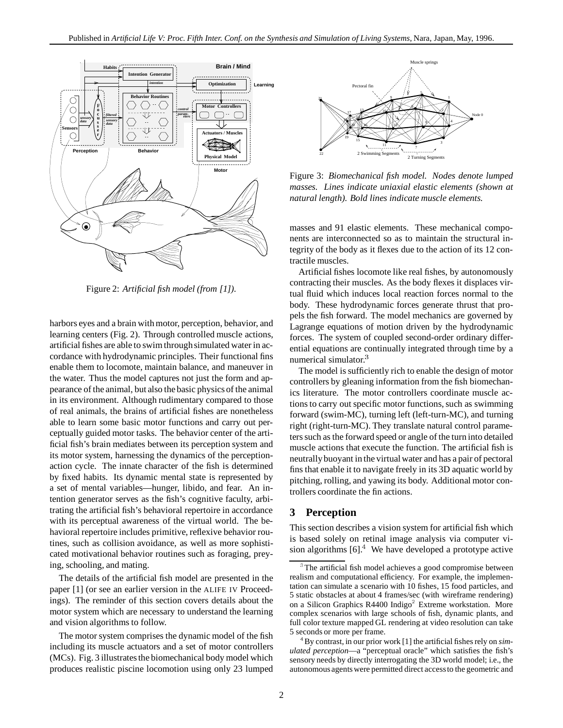

Figure 2: *Artificial fish model (from [1]).*

harbors eyes and a brain with motor, perception, behavior, and learning centers (Fig. 2). Through controlled muscle actions, artificial fishes are able to swim throughsimulated water in accordance with hydrodynamic principles. Their functional fins enable them to locomote, maintain balance, and maneuver in the water. Thus the model captures not just the form and appearance of the animal, but also the basic physics of the animal in its environment. Although rudimentary compared to those of real animals, the brains of artificial fishes are nonetheless able to learn some basic motor functions and carry out perceptually guided motor tasks. The behavior center of the artificial fish's brain mediates between its perception system and its motor system, harnessing the dynamics of the perceptionaction cycle. The innate character of the fish is determined by fixed habits. Its dynamic mental state is represented by a set of mental variables—hunger, libido, and fear. An intention generator serves as the fish's cognitive faculty, arbitrating the artificial fish's behavioral repertoire in accordance with its perceptual awareness of the virtual world. The behavioral repertoire includes primitive, reflexive behavior routines, such as collision avoidance, as well as more sophisticated motivational behavior routines such as foraging, preying, schooling, and mating.

The details of the artificial fish model are presented in the paper [1] (or see an earlier version in the ALIFE IV Proceedings). The reminder of this section covers details about the motor system which are necessary to understand the learning and vision algorithms to follow.

The motor system comprises the dynamic model of the fish including its muscle actuators and a set of motor controllers (MCs). Fig. 3 illustrates the biomechanical body model which produces realistic piscine locomotion using only 23 lumped



Figure 3: *Biomechanical fish model. Nodes denote lumped masses. Lines indicate uniaxial elastic elements (shown at natural length). Bold lines indicate muscle elements.*

masses and 91 elastic elements. These mechanical components are interconnected so as to maintain the structural integrity of the body as it flexes due to the action of its 12 contractile muscles.

Artificial fishes locomote like real fishes, by autonomously contracting their muscles. As the body flexes it displaces virtual fluid which induces local reaction forces normal to the body. These hydrodynamic forces generate thrust that propels the fish forward. The model mechanics are governed by Lagrange equations of motion driven by the hydrodynamic forces. The system of coupled second-order ordinary differential equations are continually integrated through time by a numerical simulator.<sup>3</sup>

The model is sufficiently rich to enable the design of motor controllers by gleaning information from the fish biomechanics literature. The motor controllers coordinate muscle actions to carry out specific motor functions, such as swimming forward (swim-MC), turning left (left-turn-MC), and turning right (right-turn-MC). They translate natural control parameters such as the forward speed or angle of the turn into detailed muscle actions that execute the function. The artificial fish is neutrallybuoyant in the virtual water and has a pair of pectoral fins that enable it to navigate freely in its 3D aquatic world by pitching, rolling, and yawing its body. Additional motor controllers coordinate the fin actions.

## **3 Perception**

This section describes a vision system for artificial fish which is based solely on retinal image analysis via computer vision algorithms  $[6].<sup>4</sup>$  We have developed a prototype active

<sup>&</sup>lt;sup>3</sup>The artificial fish model achieves a good compromise between realism and computational efficiency. For example, the implementation can simulate a scenario with 10 fishes, 15 food particles, and 5 static obstacles at about 4 frames/sec (with wireframe rendering) on a Silicon Graphics R4400 Indigo<sup>2</sup> Extreme workstation. More complex scenarios with large schools of fish, dynamic plants, and full color texture mapped GL rendering at video resolution can take 5 seconds or more per frame.

<sup>4</sup> By contrast, in our prior work [1] the artificial fishes rely on *simulated perception*—a "perceptual oracle" which satisfies the fish's sensory needs by directly interrogating the 3D world model; i.e., the autonomousagents were permitted direct accessto the geometric and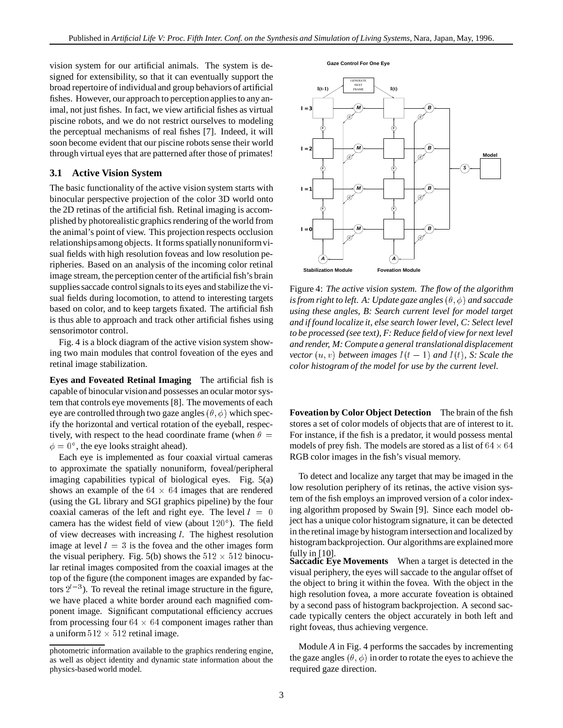vision system for our artificial animals. The system is designed for extensibility, so that it can eventually support the broad repertoire of individual and group behaviors of artificial fishes. However, our approach to perception applies to any animal, not just fishes. In fact, we view artificial fishes as virtual piscine robots, and we do not restrict ourselves to modeling the perceptual mechanisms of real fishes [7]. Indeed, it will soon become evident that our piscine robots sense their world through virtual eyes that are patterned after those of primates!

#### **3.1 Active Vision System**

The basic functionality of the active vision system starts with binocular perspective projection of the color 3D world onto the 2D retinas of the artificial fish. Retinal imaging is accomplished by photorealistic graphics rendering of the world from the animal's point of view. This projection respects occlusion relationships among objects. It forms spatially nonuniform visual fields with high resolution foveas and low resolution peripheries. Based on an analysis of the incoming color retinal image stream, the perception center of the artificial fish's brain supplies saccade control signals to its eyes and stabilize the visual fields during locomotion, to attend to interesting targets based on color, and to keep targets fixated. The artificial fish is thus able to approach and track other artificial fishes using sensorimotor control.

Fig. 4 is a block diagram of the active vision system showing two main modules that control foveation of the eyes and retinal image stabilization.

**Eyes and Foveated Retinal Imaging** The artificial fish is capable of binocular visionand possesses an ocular motor system that controls eye movements [8]. The movements of each eye are controlled through two gaze angles  $(\theta, \phi)$  which specify the horizontal and vertical rotation of the eyeball, respectively, with respect to the head coordinate frame (when  $\theta =$  $\phi = 0^{\circ}$ , the eye looks straight ahead).

Each eye is implemented as four coaxial virtual cameras to approximate the spatially nonuniform, foveal/peripheral imaging capabilities typical of biological eyes. Fig. 5(a) shows an example of the  $64 \times 64$  images that are rendered (using the GL library and SGI graphics pipeline) by the four coaxial cameras of the left and right eye. The level  $l = 0$ camera has the widest field of view (about <sup>120</sup> ). The field of view decreases with increasing <sup>l</sup>. The highest resolution image at level  $l = 3$  is the fovea and the other images form the visual periphery. Fig. 5(b) shows the  $512 \times 512$  binocular retinal images composited from the coaxial images at the top of the figure (the component images are expanded by factors  $2^{l-3}$ ). To reveal the retinal image structure in the figure, we have placed a white border around each magnified component image. Significant computational efficiency accrues from processing four  $64 \times 64$  component images rather than a uniform  $512 \times 512$  retinal image.



**Gaze Control For One Eye**

Figure 4: *The active vision system. The flow of the algorithm is from right to left. A: Update gaze angles*  $(\theta, \phi)$  *and saccade using these angles, B: Search current level for model target and if found localize it, else search lower level, C: Select level to be processed (see text), F: Reduce field of view for next level and render, M: Compute a general translational displacement vector*  $(u, v)$  *between images*  $I(t - 1)$  *and*  $I(t)$ *, S: Scale the color histogram of the model for use by the current level.*

**Foveation by Color Object Detection** The brain of the fish stores a set of color models of objects that are of interest to it. For instance, if the fish is a predator, it would possess mental models of prey fish. The models are stored as a list of  $64 \times 64$ RGB color images in the fish's visual memory.

To detect and localize any target that may be imaged in the low resolution periphery of its retinas, the active vision system of the fish employs an improved version of a color indexing algorithm proposed by Swain [9]. Since each model object has a unique color histogram signature, it can be detected in the retinal image by histogram intersection and localized by histogram backprojection. Our algorithms are explained more fully in [10]. **Saccadic Eye Movements** When a target is detected in the visual periphery, the eyes will saccade to the angular offset of the object to bring it within the fovea. With the object in the

high resolution fovea, a more accurate foveation is obtained by a second pass of histogram backprojection. A second saccade typically centers the object accurately in both left and right foveas, thus achieving vergence.

Module *A* in Fig. 4 performs the saccades by incrementing the gaze angles  $(\theta, \phi)$  in order to rotate the eyes to achieve the required gaze direction.

photometric information available to the graphics rendering engine, as well as object identity and dynamic state information about the physics-based world model.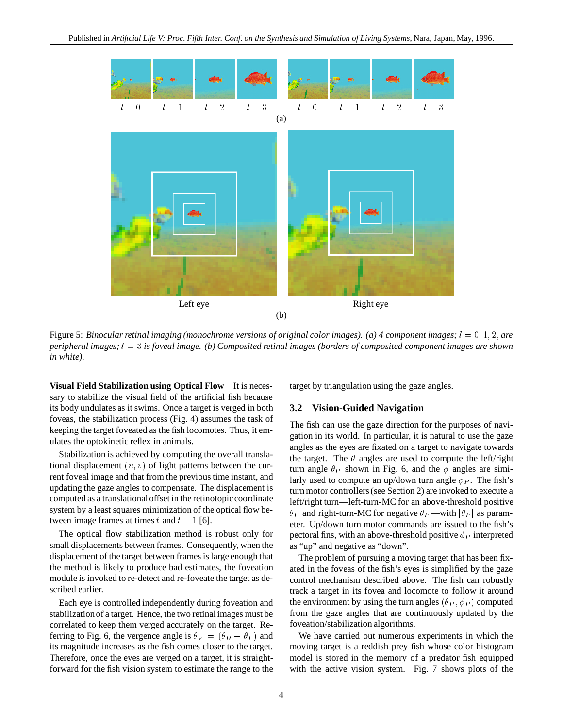

Figure 5: *Binocular retinal imaging (monochrome versions of original color images).* (a) 4 component images;  $l = 0, 1, 2$ , are *peripheral images;* <sup>l</sup> = 3 *is foveal image. (b) Composited retinal images (borders of composited component images are shown in white).*

**Visual Field Stabilization using Optical Flow** It is necessary to stabilize the visual field of the artificial fish because its body undulates as it swims. Once a target is verged in both foveas, the stabilization process (Fig. 4) assumes the task of keeping the target foveated as the fish locomotes. Thus, it emulates the optokinetic reflex in animals.

Stabilization is achieved by computing the overall translational displacement  $(u, v)$  of light patterns between the current foveal image and that from the previous time instant, and updating the gaze angles to compensate. The displacement is computed as a translational offset in the retinotopiccoordinate system by a least squares minimization of the optical flow between image frames at times t and  $t - 1$  [6].

The optical flow stabilization method is robust only for small displacements between frames. Consequently, when the displacement of the target between frames is large enough that the method is likely to produce bad estimates, the foveation module is invoked to re-detect and re-foveate the target as described earlier.

Each eye is controlled independently during foveation and stabilizationof a target. Hence, the two retinal images must be correlated to keep them verged accurately on the target. Referring to Fig. 6, the vergence angle is  $\theta_V = (\theta_R - \theta_L)$  and its magnitude increases as the fish comes closer to the target. Therefore, once the eyes are verged on a target, it is straightforward for the fish vision system to estimate the range to the target by triangulation using the gaze angles.

### **3.2 Vision-Guided Navigation**

The fish can use the gaze direction for the purposes of navigation in its world. In particular, it is natural to use the gaze angles as the eyes are fixated on a target to navigate towards the target. The  $\theta$  angles are used to compute the left/right turn angle  $\theta_P$  shown in Fig. 6, and the  $\phi$  angles are similarly used to compute an up/down turn angle  $\phi_P$ . The fish's turn motor controllers (see Section 2) are invoked to execute a left/right turn—left-turn-MC for an above-threshold positive  $\theta_P$  and right-turn-MC for negative  $\theta_P$ —with  $|\theta_P|$  as parameter. Up/down turn motor commands are issued to the fish's pectoral fins, with an above-threshold positive  $\phi_P$  interpreted as "up" and negative as "down".

The problem of pursuing a moving target that has been fixated in the foveas of the fish's eyes is simplified by the gaze control mechanism described above. The fish can robustly track a target in its fovea and locomote to follow it around the environment by using the turn angles  $(\theta_P, \phi_P)$  computed from the gaze angles that are continuously updated by the foveation/stabilization algorithms.

We have carried out numerous experiments in which the moving target is a reddish prey fish whose color histogram model is stored in the memory of a predator fish equipped with the active vision system. Fig. 7 shows plots of the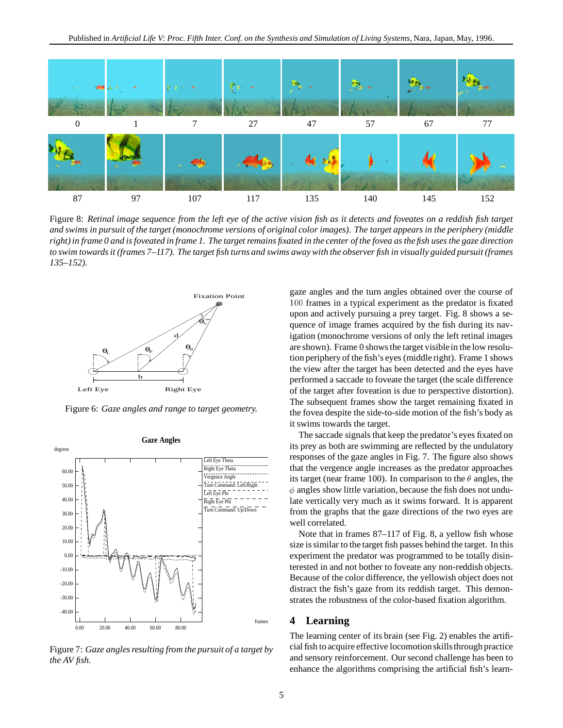

Figure 8: *Retinal image sequence from the left eye of the active vision fish as it detects and foveates on a reddish fish target and swims in pursuit of the target (monochrome versions of original color images). The target appears in the periphery (middle right) in frame 0 and is foveated in frame 1. The target remains fixated in the center of the fovea as the fish uses the gaze direction to swim towards it (frames 7–117). The target fish turns and swims away with the observer fish in visually guided pursuit (frames 135–152).*



Figure 6: *Gaze angles and range to target geometry.*



Figure 7: *Gaze angles resulting from the pursuit of a target by the AV fish.*

gaze angles and the turn angles obtained over the course of <sup>100</sup> frames in a typical experiment as the predator is fixated upon and actively pursuing a prey target. Fig. 8 shows a sequence of image frames acquired by the fish during its navigation (monochrome versions of only the left retinal images are shown). Frame 0 shows the target visiblein the low resolution periphery of the fish's eyes (middle right). Frame 1 shows the view after the target has been detected and the eyes have performed a saccade to foveate the target (the scale difference of the target after foveation is due to perspective distortion). The subsequent frames show the target remaining fixated in the fovea despite the side-to-side motion of the fish's body as it swims towards the target.

The saccade signals that keep the predator's eyes fixated on its prey as both are swimming are reflected by the undulatory responses of the gaze angles in Fig. 7. The figure also shows that the vergence angle increases as the predator approaches its target (near frame 100). In comparison to the  $\theta$  angles, the  $\phi$  angles show little variation, because the fish does not undulate vertically very much as it swims forward. It is apparent from the graphs that the gaze directions of the two eyes are well correlated.

Note that in frames 87–117 of Fig. 8, a yellow fish whose size is similar to the target fish passes behind the target. In this experiment the predator was programmed to be totally disinterested in and not bother to foveate any non-reddish objects. Because of the color difference, the yellowish object does not distract the fish's gaze from its reddish target. This demonstrates the robustness of the color-based fixation algorithm.

## **4 Learning**

The learning center of its brain (see Fig. 2) enables the artificial fish to acquire effective locomotionskillsthrough practice and sensory reinforcement. Our second challenge has been to enhance the algorithms comprising the artificial fish's learn-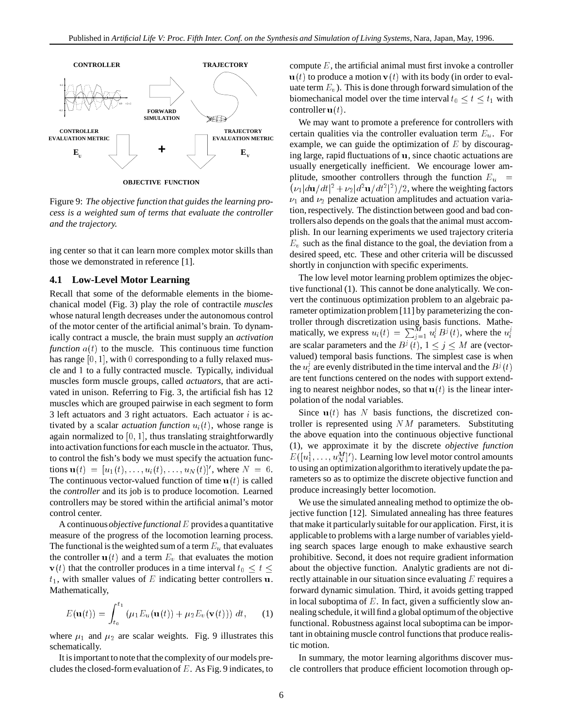

**OBJECTIVE FUNCTION**

Figure 9: *The objective function that guides the learning process is a weighted sum of terms that evaluate the controller and the trajectory.*

ing center so that it can learn more complex motor skills than those we demonstrated in reference [1].

## **4.1 Low-Level Motor Learning**

Recall that some of the deformable elements in the biomechanical model (Fig. 3) play the role of contractile *muscles* whose natural length decreases under the autonomous control of the motor center of the artificial animal's brain. To dynamically contract a muscle, the brain must supply an *activation function*  $a(t)$  to the muscle. This continuous time function has range  $[0, 1]$ , with 0 corresponding to a fully relaxed muscle and <sup>1</sup> to a fully contracted muscle. Typically, individual muscles form muscle groups, called *actuators*, that are activated in unison. Referring to Fig. 3, the artificial fish has 12 muscles which are grouped pairwise in each segment to form 3 left actuators and 3 right actuators. Each actuator  $i$  is activated by a scalar *actuation function*  $u_i(t)$ , whose range is again normalized to  $[0, 1]$ , thus translating straightforwardly into activation functions for each muscle in the actuator. Thus, to control the fish's body we must specify the actuation functions  $\mathbf{u}(t) = [u_1(t), \dots, u_i(t), \dots, u_N (t)]'$ , where  $N = 6$ . The continuous vector-valued function of time  $u(t)$  is called the *controller* and its job is to produce locomotion. Learned controllers may be stored within the artificial animal's motor control center.

A continuous*objective functional* <sup>E</sup> provides a quantitative measure of the progress of the locomotion learning process. The functional is the weighted sum of a term  $E_u$  that evaluates the controller  $\mathbf{u}(t)$  and a term  $E_y$  that evaluates the motion  $\mathbf{v}(t)$  that the controller produces in a time interval  $t_0 \leq t \leq$  $t_1$ , with smaller values of E indicating better controllers u. Mathematically,

$$
E(\mathbf{u}(t)) = \int_{t_0}^{t_1} (\mu_1 E_u(\mathbf{u}(t)) + \mu_2 E_v(\mathbf{v}(t))) dt,
$$
 (1)

where  $\mu_1$  and  $\mu_2$  are scalar weights. Fig. 9 illustrates this schematically.

It is important to note that the complexity of our models precludes the closed-form evaluation of  $E$ . As Fig. 9 indicates, to compute  $E$ , the artificial animal must first invoke a controller  $\mathbf{u}(t)$  to produce a motion  $\mathbf{v}(t)$  with its body (in order to evaluate term  $E<sub>v</sub>$ ). This is done through forward simulation of the biomechanical model over the time interval  $t_0 \leq t \leq t_1$  with controller  $\mathbf{u}(t)$ .

We may want to promote a preference for controllers with certain qualities via the controller evaluation term  $E_u$ . For example, we can guide the optimization of  $E$  by discouraging large, rapid fluctuations of <sup>u</sup>, since chaotic actuations are usually energetically inefficient. We encourage lower amplitude, smoother controllers through the function  $E_u$  =  $(\nu_1|d\mathbf{u}/dt|^2 + \nu_2|d^2\mathbf{u}/dt^2|^2)/2$ , where the weighting factors  $\nu_1$  and  $\nu_2$  penalize actuation amplitudes and actuation variation, respectively. The distinction between good and bad controllers also depends on the goals that the animal must accomplish. In our learning experiments we used trajectory criteria  $E<sub>v</sub>$  such as the final distance to the goal, the deviation from a desired speed, etc. These and other criteria will be discussed shortly in conjunction with specific experiments.

The low level motor learning problem optimizes the objective functional (1). This cannot be done analytically. We convert the continuous optimization problem to an algebraic parameter optimization problem [11] by parameterizing the controller through discretization using basis functions. Mathematically, we express  $u_i(t) = \sum_{i=1}^{M} u_i^j B^j(t)$ , where the  $u_i^j$ are scalar parameters and the  $B^j(t)$ ,  $1 \le j \le M$  are (vectorvalued) temporal basis functions. The simplest case is when the  $u_i^j$  are evenly distributed in the time interval and the  $B^j(t)$ are tent functions centered on the nodes with support extending to nearest neighbor nodes, so that  $u(t)$  is the linear interpolation of the nodal variables.

Since  $u(t)$  has N basis functions, the discretized controller is represented using  $NM$  parameters. Substituting the above equation into the continuous objective functional (1), we approximate it by the discrete *objective function*  $E([u_1^1, \ldots, u_N^M]')$ . Learning low level motor control amounts to using an optimizationalgorithmto iterativelyupdate the parameters so as to optimize the discrete objective function and produce increasingly better locomotion.

We use the simulated annealing method to optimize the objective function [12]. Simulated annealing has three features that make it particularly suitable for our application. First, it is applicable to problems with a large number of variables yielding search spaces large enough to make exhaustive search prohibitive. Second, it does not require gradient information about the objective function. Analytic gradients are not directly attainable in our situation since evaluating  $E$  requires a forward dynamic simulation. Third, it avoids getting trapped in local suboptima of  $E$ . In fact, given a sufficiently slow annealing schedule, it will find a global optimum of the objective functional. Robustness against local suboptima can be important in obtaining muscle control functions that produce realistic motion.

In summary, the motor learning algorithms discover muscle controllers that produce efficient locomotion through op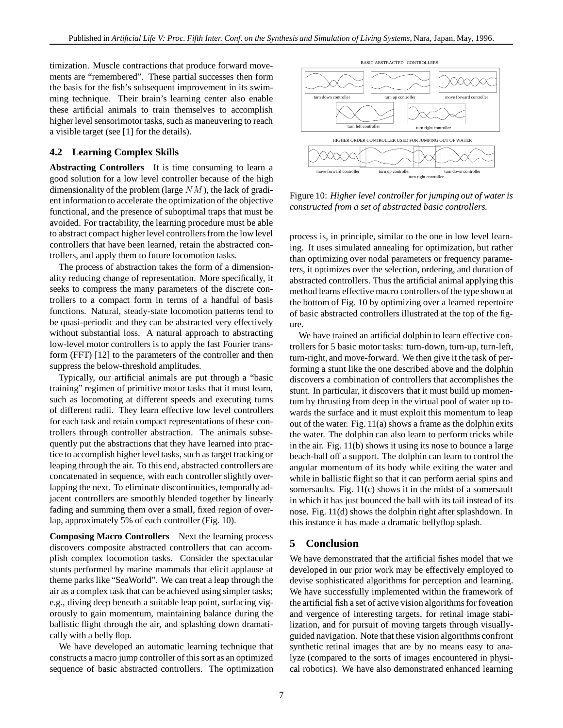timization. Muscle contractions that produce forward movements are "remembered". These partial successes then form the basis for the fish's subsequent improvement in its swimming technique. Their brain's learning center also enable these artificial animals to train themselves to accomplish higher level sensorimotor tasks, such as maneuvering to reach a visible target (see [1] for the details).

## **4.2 Learning Complex Skills**

**Abstracting Controllers** It is time consuming to learn a good solution for a low level controller because of the high dimensionality of the problem (large  $NM$ ), the lack of gradient information to accelerate the optimization of the objective functional, and the presence of suboptimal traps that must be avoided. For tractability, the learning procedure must be able to abstract compact higher level controllers from the low level controllers that have been learned, retain the abstracted controllers, and apply them to future locomotion tasks.

The process of abstraction takes the form of a dimensionality reducing change of representation. More specifically, it seeks to compress the many parameters of the discrete controllers to a compact form in terms of a handful of basis functions. Natural, steady-state locomotion patterns tend to be quasi-periodic and they can be abstracted very effectively without substantial loss. A natural approach to abstracting low-level motor controllers is to apply the fast Fourier transform (FFT) [12] to the parameters of the controller and then suppress the below-threshold amplitudes.

Typically, our artificial animals are put through a "basic training" regimen of primitive motor tasks that it must learn, such as locomoting at different speeds and executing turns of different radii. They learn effective low level controllers for each task and retain compact representations of these controllers through controller abstraction. The animals subsequently put the abstractions that they have learned into practice to accomplish higher level tasks, such as target tracking or leaping through the air. To this end, abstracted controllers are concatenated in sequence, with each controller slightly overlapping the next. To eliminate discontinuities, temporally adjacent controllers are smoothly blended together by linearly fading and summing them over a small, fixed region of overlap, approximately 5% of each controller (Fig. 10).

**Composing Macro Controllers** Next the learning process discovers composite abstracted controllers that can accomplish complex locomotion tasks. Consider the spectacular stunts performed by marine mammals that elicit applause at theme parks like "SeaWorld". We can treat a leap through the air as a complex task that can be achieved using simpler tasks; e.g., diving deep beneath a suitable leap point, surfacing vigorously to gain momentum, maintaining balance during the ballistic flight through the air, and splashing down dramatically with a belly flop.

We have developed an automatic learning technique that constructs a macro jump controller of this sort as an optimized sequence of basic abstracted controllers. The optimization



Figure 10: *Higher level controller for jumping out of water is constructed from a set of abstracted basic controllers.*

process is, in principle, similar to the one in low level learning. It uses simulated annealing for optimization, but rather than optimizing over nodal parameters or frequency parameters, it optimizes over the selection, ordering, and duration of abstracted controllers. Thus the artificial animal applying this method learns effective macro controllers of the type shown at the bottom of Fig. 10 by optimizing over a learned repertoire of basic abstracted controllers illustrated at the top of the figure.

We have trained an artificial dolphin to learn effective controllers for 5 basic motor tasks: turn-down, turn-up, turn-left, turn-right, and move-forward. We then give it the task of performing a stunt like the one described above and the dolphin discovers a combination of controllers that accomplishes the stunt. In particular, it discovers that it must build up momentum by thrusting from deep in the virtual pool of water up towards the surface and it must exploit this momentum to leap out of the water. Fig. 11(a) shows a frame as the dolphin exits the water. The dolphin can also learn to perform tricks while in the air. Fig. 11(b) shows it using its nose to bounce a large beach-ball off a support. The dolphin can learn to control the angular momentum of its body while exiting the water and while in ballistic flight so that it can perform aerial spins and somersaults. Fig. 11(c) shows it in the midst of a somersault in which it has just bounced the ball with its tail instead of its nose. Fig. 11(d) shows the dolphin right after splashdown. In this instance it has made a dramatic bellyflop splash.

## **5 Conclusion**

We have demonstrated that the artificial fishes model that we developed in our prior work may be effectively employed to devise sophisticated algorithms for perception and learning. We have successfully implemented within the framework of the artificial fish a set of active vision algorithms for foveation and vergence of interesting targets, for retinal image stabilization, and for pursuit of moving targets through visuallyguided navigation. Note that these vision algorithms confront synthetic retinal images that are by no means easy to analyze (compared to the sorts of images encountered in physical robotics). We have also demonstrated enhanced learning